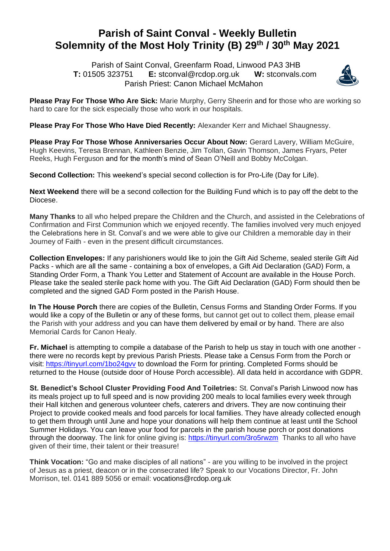## **Parish of Saint Conval - Weekly Bulletin Solemnity of the Most Holy Trinity (B) 29 th / 30th May 2021**

 Parish of Saint Conval, Greenfarm Road, Linwood PA3 3HB **T:** 01505 323751 **E:** [stconval@rcdop.org.uk](mailto:stconval@rcdop.org.uk) **W:** stconvals.com Parish Priest: Canon Michael McMahon



**Please Pray For Those Who Are Sick:** Marie Murphy, Gerry Sheerin and for those who are working so hard to care for the sick especially those who work in our hospitals.

**Please Pray For Those Who Have Died Recently:** Alexander Kerr and Michael Shaugnessy.

**Please Pray For Those Whose Anniversaries Occur About Now:** Gerard Lavery, William McGuire, Hugh Keevins, Teresa Brennan, Kathleen Benzie, Jim Tollan, Gavin Thomson, James Fryars, Peter Reeks, Hugh Ferguson and for the month's mind of Sean O'Neill and Bobby McColgan.

**Second Collection:** This weekend's special second collection is for Pro-Life (Day for Life).

**Next Weekend** there will be a second collection for the Building Fund which is to pay off the debt to the Diocese.

**Many Thanks** to all who helped prepare the Children and the Church, and assisted in the Celebrations of Confirmation and First Communion which we enjoyed recently. The families involved very much enjoyed the Celebrations here in St. Conval's and we were able to give our Children a memorable day in their Journey of Faith - even in the present difficult circumstances.

**Collection Envelopes:** If any parishioners would like to join the Gift Aid Scheme, sealed sterile Gift Aid Packs - which are all the same - containing a box of envelopes, a Gift Aid Declaration (GAD) Form, a Standing Order Form, a Thank You Letter and Statement of Account are available in the House Porch. Please take the sealed sterile pack home with you. The Gift Aid Declaration (GAD) Form should then be completed and the signed GAD Form posted in the Parish House.

**In The House Porch** there are copies of the Bulletin, Census Forms and Standing Order Forms. If you would like a copy of the Bulletin or any of these forms, but cannot get out to collect them, please email the Parish with your address and you can have them delivered by email or by hand. There are also Memorial Cards for Canon Healy.

**Fr. Michael** is attempting to compile a database of the Parish to help us stay in touch with one another there were no records kept by previous Parish Priests. Please take a Census Form from the Porch or visit:<https://tinyurl.com/1bo24gvv> to download the Form for printing. Completed Forms should be returned to the House (outside door of House Porch accessible). All data held in accordance with GDPR.

**St. Benedict's School Cluster Providing Food And Toiletries:** St. Conval's Parish Linwood now has its meals project up to full speed and is now providing 200 meals to local families every week through their Hall kitchen and generous volunteer chefs, caterers and drivers. They are now continuing their Project to provide cooked meals and food parcels for local families. They have already collected enough to get them through until June and hope your donations will help them continue at least until the School Summer Holidays. You can leave your food for parcels in the parish house porch or post donations through the doorway. The link for online giving is:<https://tinyurl.com/3ro5rwzm>Thanks to all who have given of their time, their talent or their treasure!

**Think Vocation:** "Go and make disciples of all nations" - are you willing to be involved in the project of Jesus as a priest, deacon or in the consecrated life? Speak to our Vocations Director, Fr. John Morrison, tel. 0141 889 5056 or email: [vocations@rcdop.org.uk](mailto:vocations@rcdop.org.uk)